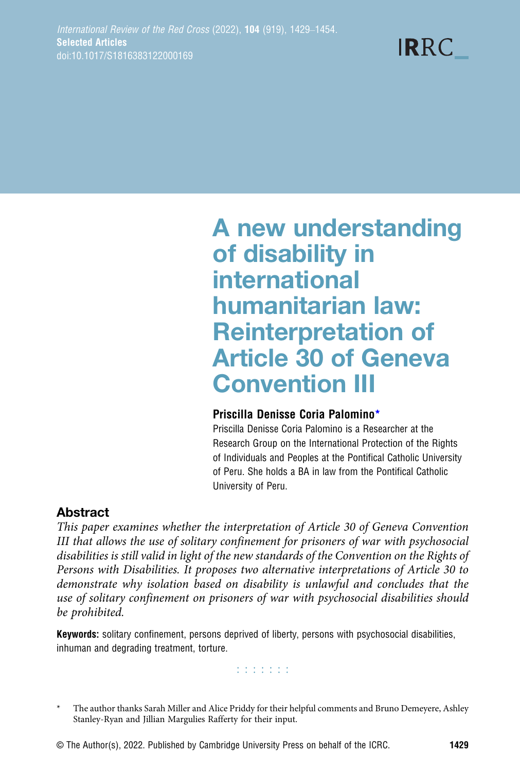**IRRC** 

# A new understanding of disability in international humanitarian law: Reinterpretation of Article 30 of Geneva Convention III

## Priscilla Denisse Coria Palomino\*

Priscilla Denisse Coria Palomino is a Researcher at the Research Group on the International Protection of the Rights of Individuals and Peoples at the Pontifical Catholic University of Peru. She holds a BA in law from the Pontifical Catholic University of Peru.

# Abstract

This paper examines whether the interpretation of Article 30 of Geneva Convention III that allows the use of solitary confinement for prisoners of war with psychosocial disabilities is still valid in light of the new standards of the Convention on the Rights of Persons with Disabilities. It proposes two alternative interpretations of Article 30 to demonstrate why isolation based on disability is unlawful and concludes that the use of solitary confinement on prisoners of war with psychosocial disabilities should be prohibited.

Keywords: solitary confinement, persons deprived of liberty, persons with psychosocial disabilities, inhuman and degrading treatment, torture.

**Edition** 

<sup>\*</sup> The author thanks Sarah Miller and Alice Priddy for their helpful comments and Bruno Demeyere, Ashley Stanley-Ryan and Jillian Margulies Rafferty for their input.

<sup>©</sup> The Author(s), 2022. Published by Cambridge University Press on behalf of the ICRC. 1429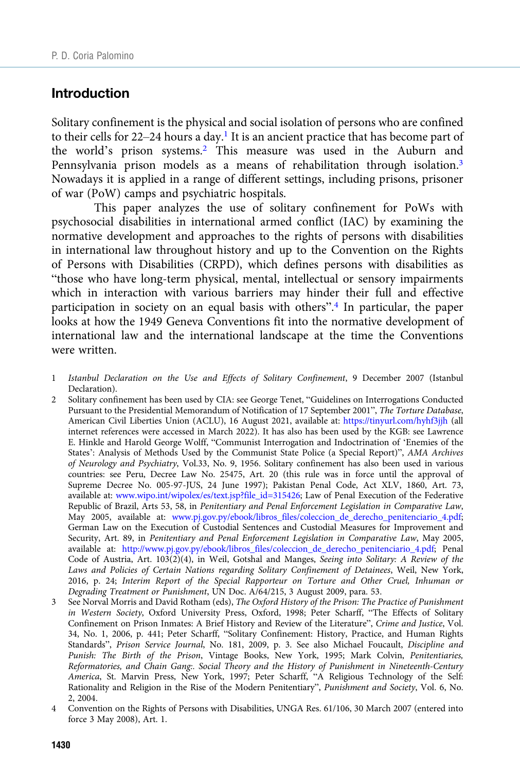#### Introduction

Solitary confinement is the physical and social isolation of persons who are confined to their cells for 22–24 hours a day.<sup>1</sup> It is an ancient practice that has become part of the world's prison systems.<sup>2</sup> This measure was used in the Auburn and Pennsylvania prison models as a means of rehabilitation through isolation.<sup>3</sup> Nowadays it is applied in a range of different settings, including prisons, prisoner of war (PoW) camps and psychiatric hospitals.

This paper analyzes the use of solitary confinement for PoWs with psychosocial disabilities in international armed conflict (IAC) by examining the normative development and approaches to the rights of persons with disabilities in international law throughout history and up to the Convention on the Rights of Persons with Disabilities (CRPD), which defines persons with disabilities as "those who have long-term physical, mental, intellectual or sensory impairments which in interaction with various barriers may hinder their full and effective participation in society on an equal basis with others".<sup>4</sup> In particular, the paper looks at how the 1949 Geneva Conventions fit into the normative development of international law and the international landscape at the time the Conventions were written.

- 1 Istanbul Declaration on the Use and Effects of Solitary Confinement, 9 December 2007 (Istanbul Declaration).
- 2 Solitary confinement has been used by CIA: see George Tenet, "Guidelines on Interrogations Conducted Pursuant to the Presidential Memorandum of Notification of 17 September 2001", The Torture Database, American Civil Liberties Union (ACLU), 16 August 2021, available at: <https://tinyurl.com/hyhf3jjh> (all internet references were accessed in March 2022). It has also has been used by the KGB: see Lawrence E. Hinkle and Harold George Wolff, "Communist Interrogation and Indoctrination of 'Enemies of the States': Analysis of Methods Used by the Communist State Police (a Special Report)", AMA Archives of Neurology and Psychiatry, Vol.33, No. 9, 1956. Solitary confinement has also been used in various countries: see Peru, Decree Law No. 25475, Art. 20 (this rule was in force until the approval of Supreme Decree No. 005-97-JUS, 24 June 1997); Pakistan Penal Code, Act XLV, 1860, Art. 73, available at: [www.wipo.int/wipolex/es/text.jsp?file\\_id=315426;](https://www.wipo.int/wipolex/es/text.jsp?file_id=315426) Law of Penal Execution of the Federative Republic of Brazil, Arts 53, 58, in Penitentiary and Penal Enforcement Legislation in Comparative Law, May 2005, available at: [www.pj.gov.py/ebook/libros\\_files/coleccion\\_de\\_derecho\\_penitenciario\\_4.pdf;](https://www.pj.gov.py/ebook/libros_files/coleccion_de_derecho_penitenciario_4.pdf) German Law on the Execution of Custodial Sentences and Custodial Measures for Improvement and Security, Art. 89, in Penitentiary and Penal Enforcement Legislation in Comparative Law, May 2005, available at: [http://www.pj.gov.py/ebook/libros\\_files/coleccion\\_de\\_derecho\\_penitenciario\\_4.pdf;](http://www.pj.gov.py/ebook/libros_files/coleccion_de_derecho_penitenciario_4.pdf) Penal Code of Austria, Art. 103(2)(4), in Weil, Gotshal and Manges, Seeing into Solitary: A Review of the Laws and Policies of Certain Nations regarding Solitary Confinement of Detainees, Weil, New York, 2016, p. 24; Interim Report of the Special Rapporteur on Torture and Other Cruel, Inhuman or Degrading Treatment or Punishment, UN Doc. A/64/215, 3 August 2009, para. 53.
- 3 See Norval Morris and David Rotham (eds), The Oxford History of the Prison: The Practice of Punishment in Western Society, Oxford University Press, Oxford, 1998; Peter Scharff, "The Effects of Solitary Confinement on Prison Inmates: A Brief History and Review of the Literature", Crime and Justice, Vol. 34, No. 1, 2006, p. 441; Peter Scharff, "Solitary Confinement: History, Practice, and Human Rights Standards", Prison Service Journal, No. 181, 2009, p. 3. See also Michael Foucault, Discipline and Punish: The Birth of the Prison, Vintage Books, New York, 1995; Mark Colvin, Penitentiaries, Reformatories, and Chain Gang:. Social Theory and the History of Punishment in Nineteenth-Century America, St. Marvin Press, New York, 1997; Peter Scharff, "A Religious Technology of the Self: Rationality and Religion in the Rise of the Modern Penitentiary", Punishment and Society, Vol. 6, No. 2, 2004.
- 4 Convention on the Rights of Persons with Disabilities, UNGA Res. 61/106, 30 March 2007 (entered into force 3 May 2008), Art. 1.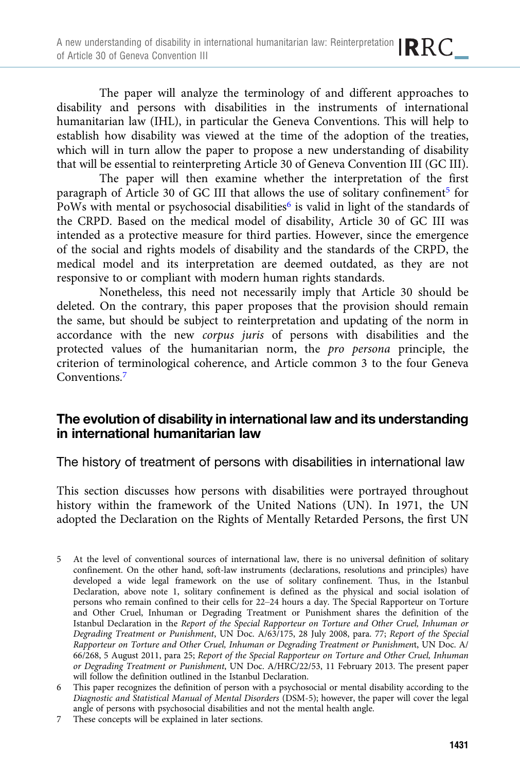The paper will analyze the terminology of and different approaches to disability and persons with disabilities in the instruments of international humanitarian law (IHL), in particular the Geneva Conventions. This will help to establish how disability was viewed at the time of the adoption of the treaties, which will in turn allow the paper to propose a new understanding of disability that will be essential to reinterpreting Article 30 of Geneva Convention III (GC III).

The paper will then examine whether the interpretation of the first paragraph of Article 30 of GC III that allows the use of solitary confinement<sup>5</sup> for PoWs with mental or psychosocial disabilities<sup>6</sup> is valid in light of the standards of the CRPD. Based on the medical model of disability, Article 30 of GC III was intended as a protective measure for third parties. However, since the emergence of the social and rights models of disability and the standards of the CRPD, the medical model and its interpretation are deemed outdated, as they are not responsive to or compliant with modern human rights standards.

Nonetheless, this need not necessarily imply that Article 30 should be deleted. On the contrary, this paper proposes that the provision should remain the same, but should be subject to reinterpretation and updating of the norm in accordance with the new corpus juris of persons with disabilities and the protected values of the humanitarian norm, the pro persona principle, the criterion of terminological coherence, and Article common 3 to the four Geneva Conventions.<sup>7</sup>

## The evolution of disability in international law and its understanding in international humanitarian law

The history of treatment of persons with disabilities in international law

This section discusses how persons with disabilities were portrayed throughout history within the framework of the United Nations (UN). In 1971, the UN adopted the Declaration on the Rights of Mentally Retarded Persons, the first UN

- 5 At the level of conventional sources of international law, there is no universal definition of solitary confinement. On the other hand, soft-law instruments (declarations, resolutions and principles) have developed a wide legal framework on the use of solitary confinement. Thus, in the Istanbul Declaration, above note 1, solitary confinement is defined as the physical and social isolation of persons who remain confined to their cells for 22–24 hours a day. The Special Rapporteur on Torture and Other Cruel, Inhuman or Degrading Treatment or Punishment shares the definition of the Istanbul Declaration in the Report of the Special Rapporteur on Torture and Other Cruel, Inhuman or Degrading Treatment or Punishment, UN Doc. A/63/175, 28 July 2008, para. 77; Report of the Special Rapporteur on Torture and Other Cruel, Inhuman or Degrading Treatment or Punishment, UN Doc. A/ 66/268, 5 August 2011, para 25; Report of the Special Rapporteur on Torture and Other Cruel, Inhuman or Degrading Treatment or Punishment, UN Doc. A/HRC/22/53, 11 February 2013. The present paper will follow the definition outlined in the Istanbul Declaration.
- 6 This paper recognizes the definition of person with a psychosocial or mental disability according to the Diagnostic and Statistical Manual of Mental Disorders (DSM-5); however, the paper will cover the legal angle of persons with psychosocial disabilities and not the mental health angle.
- 7 These concepts will be explained in later sections.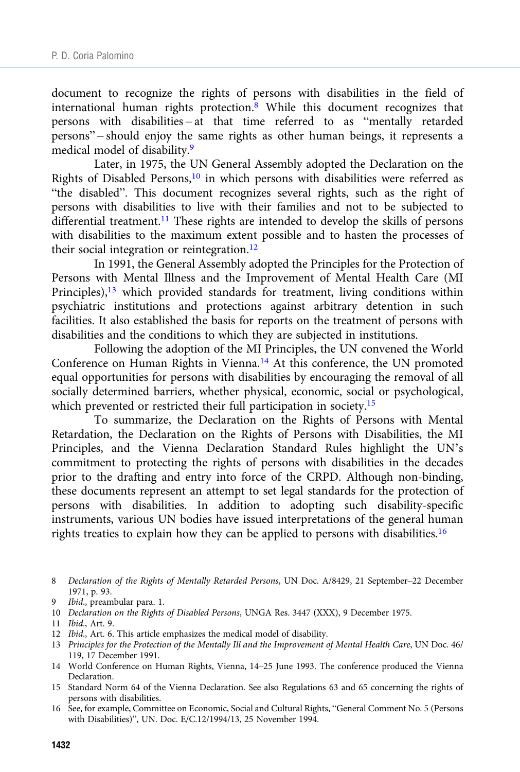document to recognize the rights of persons with disabilities in the field of international human rights protection.<sup>8</sup> While this document recognizes that persons with disabilities – at that time referred to as "mentally retarded persons" – should enjoy the same rights as other human beings, it represents a medical model of disability.9

Later, in 1975, the UN General Assembly adopted the Declaration on the Rights of Disabled Persons,10 in which persons with disabilities were referred as "the disabled". This document recognizes several rights, such as the right of persons with disabilities to live with their families and not to be subjected to differential treatment.<sup>11</sup> These rights are intended to develop the skills of persons with disabilities to the maximum extent possible and to hasten the processes of their social integration or reintegration.<sup>12</sup>

In 1991, the General Assembly adopted the Principles for the Protection of Persons with Mental Illness and the Improvement of Mental Health Care (MI Principles),<sup>13</sup> which provided standards for treatment, living conditions within psychiatric institutions and protections against arbitrary detention in such facilities. It also established the basis for reports on the treatment of persons with disabilities and the conditions to which they are subjected in institutions.

Following the adoption of the MI Principles, the UN convened the World Conference on Human Rights in Vienna.<sup>14</sup> At this conference, the UN promoted equal opportunities for persons with disabilities by encouraging the removal of all socially determined barriers, whether physical, economic, social or psychological, which prevented or restricted their full participation in society.<sup>15</sup>

To summarize, the Declaration on the Rights of Persons with Mental Retardation, the Declaration on the Rights of Persons with Disabilities, the MI Principles, and the Vienna Declaration Standard Rules highlight the UN's commitment to protecting the rights of persons with disabilities in the decades prior to the drafting and entry into force of the CRPD. Although non-binding, these documents represent an attempt to set legal standards for the protection of persons with disabilities. In addition to adopting such disability-specific instruments, various UN bodies have issued interpretations of the general human rights treaties to explain how they can be applied to persons with disabilities.<sup>16</sup>

- 13 Principles for the Protection of the Mentally Ill and the Improvement of Mental Health Care, UN Doc. 46/ 119, 17 December 1991.
- 14 World Conference on Human Rights, Vienna, 14–25 June 1993. The conference produced the Vienna Declaration.
- 15 Standard Norm 64 of the Vienna Declaration. See also Regulations 63 and 65 concerning the rights of persons with disabilities.
- 16 See, for example, Committee on Economic, Social and Cultural Rights, "General Comment No. 5 (Persons with Disabilities)", UN. Doc. E/C.12/1994/13, 25 November 1994.

<sup>8</sup> Declaration of the Rights of Mentally Retarded Persons, UN Doc. A/8429, 21 September–22 December 1971, p. 93.

<sup>9</sup> Ibid., preambular para. 1.

<sup>10</sup> Declaration on the Rights of Disabled Persons, UNGA Res. 3447 (XXX), 9 December 1975.

<sup>11</sup> Ibid., Art. 9.

<sup>12</sup> Ibid., Art. 6. This article emphasizes the medical model of disability.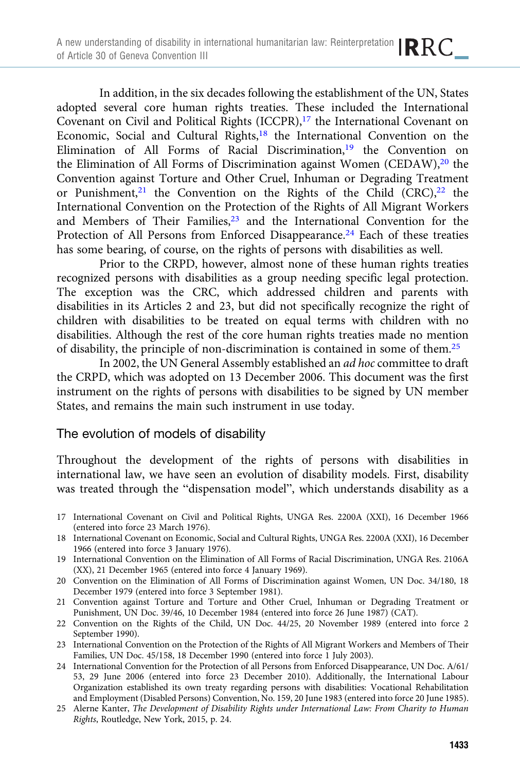In addition, in the six decades following the establishment of the UN, States adopted several core human rights treaties. These included the International Covenant on Civil and Political Rights  $(ICCPR)$ ,<sup>17</sup> the International Covenant on Economic, Social and Cultural Rights,<sup>18</sup> the International Convention on the Elimination of All Forms of Racial Discrimination,<sup>19</sup> the Convention on the Elimination of All Forms of Discrimination against Women (CEDAW),<sup>20</sup> the Convention against Torture and Other Cruel, Inhuman or Degrading Treatment or Punishment,<sup>21</sup> the Convention on the Rights of the Child  $(CRC)$ ,<sup>22</sup> the International Convention on the Protection of the Rights of All Migrant Workers and Members of Their Families,<sup>23</sup> and the International Convention for the Protection of All Persons from Enforced Disappearance.<sup>24</sup> Each of these treaties has some bearing, of course, on the rights of persons with disabilities as well.

Prior to the CRPD, however, almost none of these human rights treaties recognized persons with disabilities as a group needing specific legal protection. The exception was the CRC, which addressed children and parents with disabilities in its Articles 2 and 23, but did not specifically recognize the right of children with disabilities to be treated on equal terms with children with no disabilities. Although the rest of the core human rights treaties made no mention of disability, the principle of non-discrimination is contained in some of them.25

In 2002, the UN General Assembly established an ad hoc committee to draft the CRPD, which was adopted on 13 December 2006. This document was the first instrument on the rights of persons with disabilities to be signed by UN member States, and remains the main such instrument in use today.

## The evolution of models of disability

Throughout the development of the rights of persons with disabilities in international law, we have seen an evolution of disability models. First, disability was treated through the "dispensation model", which understands disability as a

- 18 International Covenant on Economic, Social and Cultural Rights, UNGA Res. 2200A (XXI), 16 December 1966 (entered into force 3 January 1976).
- 19 International Convention on the Elimination of All Forms of Racial Discrimination, UNGA Res. 2106A (XX), 21 December 1965 (entered into force 4 January 1969).
- 20 Convention on the Elimination of All Forms of Discrimination against Women, UN Doc. 34/180, 18 December 1979 (entered into force 3 September 1981).
- 21 Convention against Torture and Torture and Other Cruel, Inhuman or Degrading Treatment or Punishment, UN Doc. 39/46, 10 December 1984 (entered into force 26 June 1987) (CAT).
- 22 Convention on the Rights of the Child, UN Doc. 44/25, 20 November 1989 (entered into force 2 September 1990).
- 23 International Convention on the Protection of the Rights of All Migrant Workers and Members of Their Families, UN Doc. 45/158, 18 December 1990 (entered into force 1 July 2003).
- 24 International Convention for the Protection of all Persons from Enforced Disappearance, UN Doc. A/61/ 53, 29 June 2006 (entered into force 23 December 2010). Additionally, the International Labour Organization established its own treaty regarding persons with disabilities: Vocational Rehabilitation and Employment (Disabled Persons) Convention, No. 159, 20 June 1983 (entered into force 20 June 1985).
- 25 Alerne Kanter, The Development of Disability Rights under International Law: From Charity to Human Rights, Routledge, New York, 2015, p. 24.

<sup>17</sup> International Covenant on Civil and Political Rights, UNGA Res. 2200A (XXI), 16 December 1966 (entered into force 23 March 1976).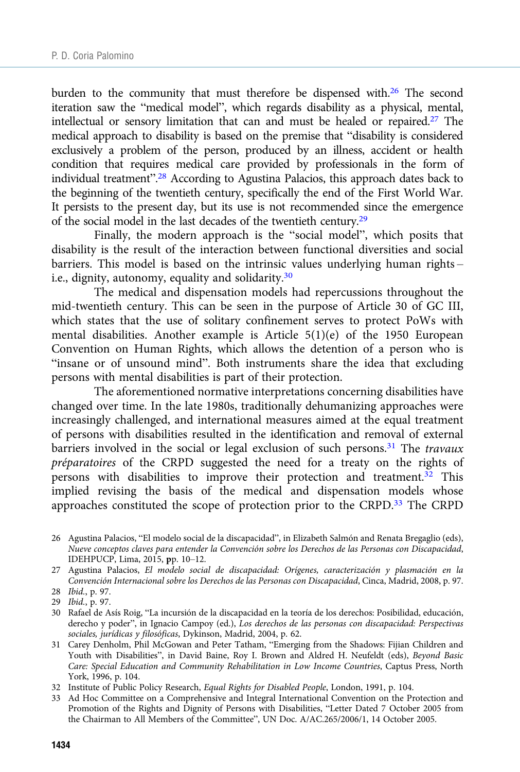burden to the community that must therefore be dispensed with.<sup>26</sup> The second iteration saw the "medical model", which regards disability as a physical, mental, intellectual or sensory limitation that can and must be healed or repaired.<sup>27</sup> The medical approach to disability is based on the premise that "disability is considered exclusively a problem of the person, produced by an illness, accident or health condition that requires medical care provided by professionals in the form of individual treatment".<sup>28</sup> According to Agustina Palacios, this approach dates back to the beginning of the twentieth century, specifically the end of the First World War. It persists to the present day, but its use is not recommended since the emergence of the social model in the last decades of the twentieth century.29

Finally, the modern approach is the "social model", which posits that disability is the result of the interaction between functional diversities and social barriers. This model is based on the intrinsic values underlying human rights – i.e., dignity, autonomy, equality and solidarity.30

The medical and dispensation models had repercussions throughout the mid-twentieth century. This can be seen in the purpose of Article 30 of GC III, which states that the use of solitary confinement serves to protect PoWs with mental disabilities. Another example is Article 5(1)(e) of the 1950 European Convention on Human Rights, which allows the detention of a person who is "insane or of unsound mind". Both instruments share the idea that excluding persons with mental disabilities is part of their protection.

The aforementioned normative interpretations concerning disabilities have changed over time. In the late 1980s, traditionally dehumanizing approaches were increasingly challenged, and international measures aimed at the equal treatment of persons with disabilities resulted in the identification and removal of external barriers involved in the social or legal exclusion of such persons.<sup>31</sup> The *travaux* préparatoires of the CRPD suggested the need for a treaty on the rights of persons with disabilities to improve their protection and treatment.<sup>32</sup> This implied revising the basis of the medical and dispensation models whose approaches constituted the scope of protection prior to the CRPD.33 The CRPD

32 Institute of Public Policy Research, Equal Rights for Disabled People, London, 1991, p. 104.

<sup>26</sup> Agustina Palacios, "El modelo social de la discapacidad", in Elizabeth Salmón and Renata Bregaglio (eds), Nueve conceptos claves para entender la Convención sobre los Derechos de las Personas con Discapacidad, IDEHPUCP, Lima, 2015, pp. 10–12.

<sup>27</sup> Agustina Palacios, El modelo social de discapacidad: Orígenes, caracterización y plasmación en la Convención Internacional sobre los Derechos de las Personas con Discapacidad, Cinca, Madrid, 2008, p. 97. 28 Ibid., p. 97.

<sup>29</sup> Ibid., p. 97.

<sup>30</sup> Rafael de Asís Roig, "La incursión de la discapacidad en la teoría de los derechos: Posibilidad, educación, derecho y poder", in Ignacio Campoy (ed.), Los derechos de las personas con discapacidad: Perspectivas sociales, jurídicas y filosóficas, Dykinson, Madrid, 2004, p. 62.

<sup>31</sup> Carey Denholm, Phil McGowan and Peter Tatham, "Emerging from the Shadows: Fijian Children and Youth with Disabilities", in David Baine, Roy I. Brown and Aldred H. Neufeldt (eds), Beyond Basic Care: Special Education and Community Rehabilitation in Low Income Countries, Captus Press, North York, 1996, p. 104.

<sup>33</sup> Ad Hoc Committee on a Comprehensive and Integral International Convention on the Protection and Promotion of the Rights and Dignity of Persons with Disabilities, "Letter Dated 7 October 2005 from the Chairman to All Members of the Committee", UN Doc. A/AC.265/2006/1, 14 October 2005.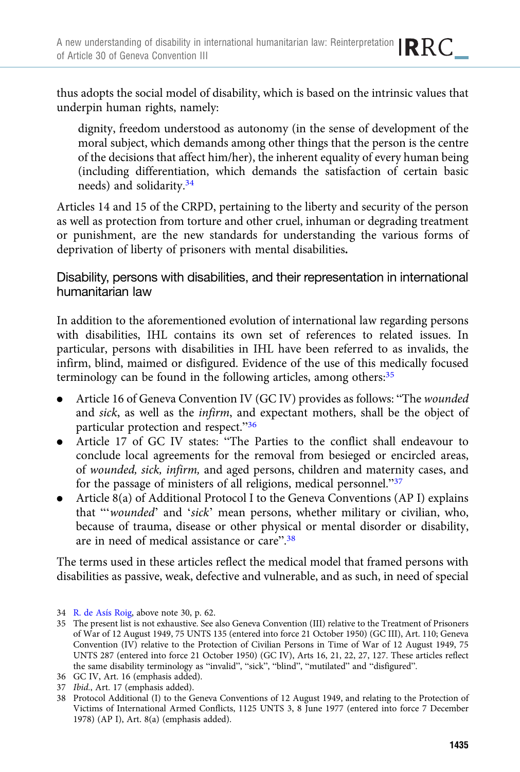thus adopts the social model of disability, which is based on the intrinsic values that underpin human rights, namely:

dignity, freedom understood as autonomy (in the sense of development of the moral subject, which demands among other things that the person is the centre of the decisions that affect him/her), the inherent equality of every human being (including differentiation, which demands the satisfaction of certain basic needs) and solidarity.<sup>34</sup>

Articles 14 and 15 of the CRPD, pertaining to the liberty and security of the person as well as protection from torture and other cruel, inhuman or degrading treatment or punishment, are the new standards for understanding the various forms of deprivation of liberty of prisoners with mental disabilities.

Disability, persons with disabilities, and their representation in international humanitarian law

In addition to the aforementioned evolution of international law regarding persons with disabilities, IHL contains its own set of references to related issues. In particular, persons with disabilities in IHL have been referred to as invalids, the infirm, blind, maimed or disfigured. Evidence of the use of this medically focused terminology can be found in the following articles, among others:<sup>35</sup>

- . Article 16 of Geneva Convention IV (GC IV) provides as follows: "The wounded and sick, as well as the infirm, and expectant mothers, shall be the object of particular protection and respect."<sup>36</sup>
- . Article 17 of GC IV states: "The Parties to the conflict shall endeavour to conclude local agreements for the removal from besieged or encircled areas, of wounded, sick, infirm, and aged persons, children and maternity cases, and for the passage of ministers of all religions, medical personnel."<sup>37</sup>
- . Article 8(a) of Additional Protocol I to the Geneva Conventions (AP I) explains that "'wounded' and 'sick' mean persons, whether military or civilian, who, because of trauma, disease or other physical or mental disorder or disability, are in need of medical assistance or care".<sup>38</sup>

The terms used in these articles reflect the medical model that framed persons with disabilities as passive, weak, defective and vulnerable, and as such, in need of special

<sup>34</sup> [R. de Asís Roig](https://dialnet.unirioja.es/servlet/autor?codigo=125427), above note 30, p. 62.

<sup>35</sup> The present list is not exhaustive. See also Geneva Convention (III) relative to the Treatment of Prisoners of War of 12 August 1949, 75 UNTS 135 (entered into force 21 October 1950) (GC III), Art. 110; Geneva Convention (IV) relative to the Protection of Civilian Persons in Time of War of 12 August 1949, 75 UNTS 287 (entered into force 21 October 1950) (GC IV), Arts 16, 21, 22, 27, 127. These articles reflect the same disability terminology as "invalid", "sick", "blind", "mutilated" and "disfigured".

<sup>36</sup> GC IV, Art. 16 (emphasis added).

<sup>37</sup> Ibid., Art. 17 (emphasis added).

<sup>38</sup> Protocol Additional (I) to the Geneva Conventions of 12 August 1949, and relating to the Protection of Victims of International Armed Conflicts, 1125 UNTS 3, 8 June 1977 (entered into force 7 December 1978) (AP I), Art. 8(a) (emphasis added).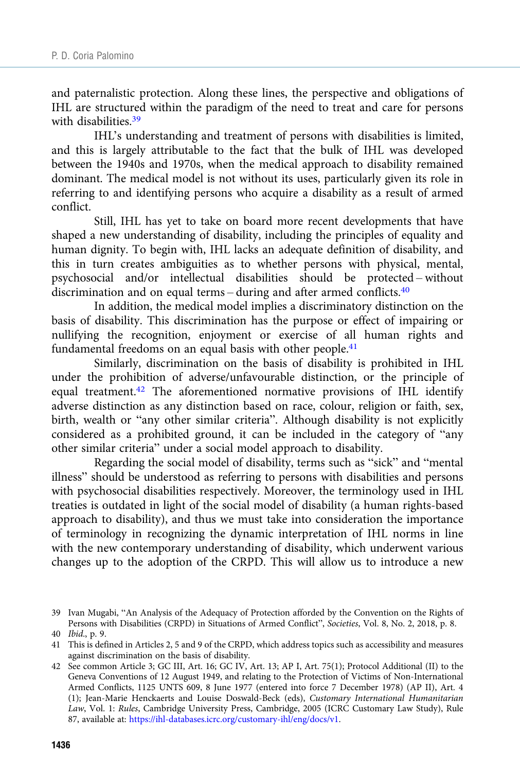and paternalistic protection. Along these lines, the perspective and obligations of IHL are structured within the paradigm of the need to treat and care for persons with disabilities.<sup>39</sup>

IHL's understanding and treatment of persons with disabilities is limited, and this is largely attributable to the fact that the bulk of IHL was developed between the 1940s and 1970s, when the medical approach to disability remained dominant. The medical model is not without its uses, particularly given its role in referring to and identifying persons who acquire a disability as a result of armed conflict.

Still, IHL has yet to take on board more recent developments that have shaped a new understanding of disability, including the principles of equality and human dignity. To begin with, IHL lacks an adequate definition of disability, and this in turn creates ambiguities as to whether persons with physical, mental, psychosocial and/or intellectual disabilities should be protected – without discrimination and on equal terms – during and after armed conflicts.<sup>40</sup>

In addition, the medical model implies a discriminatory distinction on the basis of disability. This discrimination has the purpose or effect of impairing or nullifying the recognition, enjoyment or exercise of all human rights and fundamental freedoms on an equal basis with other people.<sup>41</sup>

Similarly, discrimination on the basis of disability is prohibited in IHL under the prohibition of adverse/unfavourable distinction, or the principle of equal treatment.<sup>42</sup> The aforementioned normative provisions of IHL identify adverse distinction as any distinction based on race, colour, religion or faith, sex, birth, wealth or "any other similar criteria". Although disability is not explicitly considered as a prohibited ground, it can be included in the category of "any other similar criteria" under a social model approach to disability.

Regarding the social model of disability, terms such as "sick" and "mental illness" should be understood as referring to persons with disabilities and persons with psychosocial disabilities respectively. Moreover, the terminology used in IHL treaties is outdated in light of the social model of disability (a human rights-based approach to disability), and thus we must take into consideration the importance of terminology in recognizing the dynamic interpretation of IHL norms in line with the new contemporary understanding of disability, which underwent various changes up to the adoption of the CRPD. This will allow us to introduce a new

<sup>39</sup> Ivan Mugabi, "An Analysis of the Adequacy of Protection afforded by the Convention on the Rights of Persons with Disabilities (CRPD) in Situations of Armed Conflict", Societies, Vol. 8, No. 2, 2018, p. 8.

<sup>40</sup> Ibid., p. 9.

<sup>41</sup> This is defined in Articles 2, 5 and 9 of the CRPD, which address topics such as accessibility and measures against discrimination on the basis of disability.

<sup>42</sup> See common Article 3; GC III, Art. 16; GC IV, Art. 13; AP I, Art. 75(1); Protocol Additional (II) to the Geneva Conventions of 12 August 1949, and relating to the Protection of Victims of Non-International Armed Conflicts, 1125 UNTS 609, 8 June 1977 (entered into force 7 December 1978) (AP II), Art. 4 (1); Jean-Marie Henckaerts and Louise Doswald-Beck (eds), Customary International Humanitarian Law, Vol. 1: Rules, Cambridge University Press, Cambridge, 2005 (ICRC Customary Law Study), Rule 87, available at: <https://ihl-databases.icrc.org/customary-ihl/eng/docs/v1>.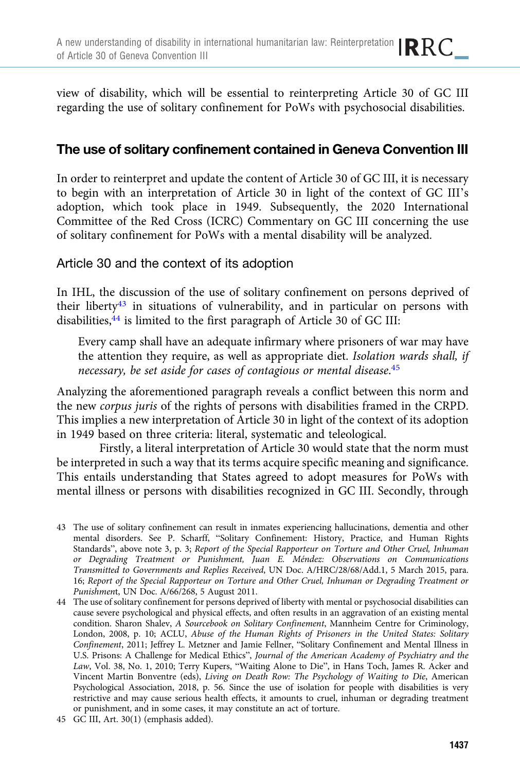view of disability, which will be essential to reinterpreting Article 30 of GC III regarding the use of solitary confinement for PoWs with psychosocial disabilities.

# The use of solitary confinement contained in Geneva Convention III

In order to reinterpret and update the content of Article 30 of GC III, it is necessary to begin with an interpretation of Article 30 in light of the context of GC III's adoption, which took place in 1949. Subsequently, the 2020 International Committee of the Red Cross (ICRC) Commentary on GC III concerning the use of solitary confinement for PoWs with a mental disability will be analyzed.

## Article 30 and the context of its adoption

In IHL, the discussion of the use of solitary confinement on persons deprived of their liberty $43$  in situations of vulnerability, and in particular on persons with disabilities,<sup>44</sup> is limited to the first paragraph of Article 30 of GC III:

Every camp shall have an adequate infirmary where prisoners of war may have the attention they require, as well as appropriate diet. Isolation wards shall, if necessary, be set aside for cases of contagious or mental disease. 45

Analyzing the aforementioned paragraph reveals a conflict between this norm and the new corpus juris of the rights of persons with disabilities framed in the CRPD. This implies a new interpretation of Article 30 in light of the context of its adoption in 1949 based on three criteria: literal, systematic and teleological.

Firstly, a literal interpretation of Article 30 would state that the norm must be interpreted in such a way that its terms acquire specific meaning and significance. This entails understanding that States agreed to adopt measures for PoWs with mental illness or persons with disabilities recognized in GC III. Secondly, through

<sup>43</sup> The use of solitary confinement can result in inmates experiencing hallucinations, dementia and other mental disorders. See P. Scharff, "Solitary Confinement: History, Practice, and Human Rights Standards", above note 3, p. 3; Report of the Special Rapporteur on Torture and Other Cruel, Inhuman or Degrading Treatment or Punishment, Juan E. Méndez: Observations on Communications Transmitted to Governments and Replies Received, UN Doc. A/HRC/28/68/Add.1, 5 March 2015, para. 16; Report of the Special Rapporteur on Torture and Other Cruel, Inhuman or Degrading Treatment or Punishment, UN Doc. A/66/268, 5 August 2011.

<sup>44</sup> The use of solitary confinement for persons deprived of liberty with mental or psychosocial disabilities can cause severe psychological and physical effects, and often results in an aggravation of an existing mental condition. Sharon Shalev, A Sourcebook on Solitary Confinement, Mannheim Centre for Criminology, London, 2008, p. 10; ACLU, Abuse of the Human Rights of Prisoners in the United States: Solitary Confinement, 2011; Jeffrey L. Metzner and Jamie Fellner, "Solitary Confinement and Mental Illness in U.S. Prisons: A Challenge for Medical Ethics", Journal of the American Academy of Psychiatry and the Law, Vol. 38, No. 1, 2010; Terry Kupers, "Waiting Alone to Die", in Hans Toch, James R. Acker and Vincent Martin Bonventre (eds), Living on Death Row: The Psychology of Waiting to Die, American Psychological Association, 2018, p. 56. Since the use of isolation for people with disabilities is very restrictive and may cause serious health effects, it amounts to cruel, inhuman or degrading treatment or punishment, and in some cases, it may constitute an act of torture.

<sup>45</sup> GC III, Art. 30(1) (emphasis added).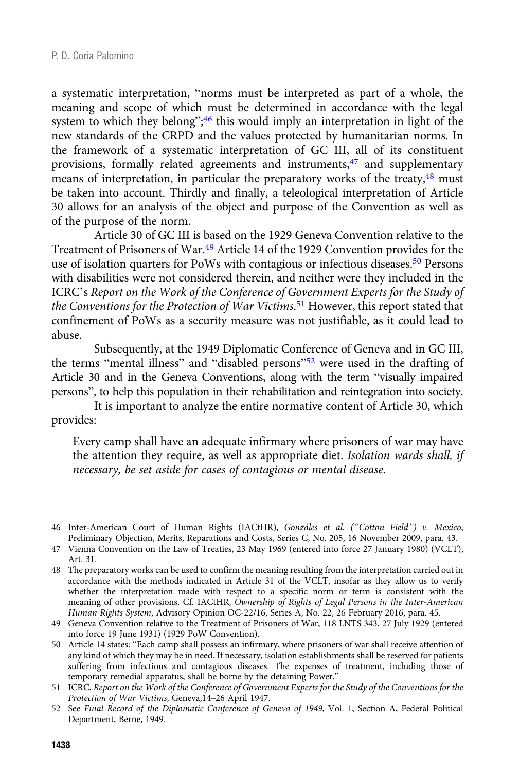a systematic interpretation, "norms must be interpreted as part of a whole, the meaning and scope of which must be determined in accordance with the legal system to which they belong";<sup>46</sup> this would imply an interpretation in light of the new standards of the CRPD and the values protected by humanitarian norms. In the framework of a systematic interpretation of GC III, all of its constituent provisions, formally related agreements and instruments,<sup>47</sup> and supplementary means of interpretation, in particular the preparatory works of the treaty,<sup>48</sup> must be taken into account. Thirdly and finally, a teleological interpretation of Article 30 allows for an analysis of the object and purpose of the Convention as well as of the purpose of the norm.

Article 30 of GC III is based on the 1929 Geneva Convention relative to the Treatment of Prisoners of War.<sup>49</sup> Article 14 of the 1929 Convention provides for the use of isolation quarters for PoWs with contagious or infectious diseases.50 Persons with disabilities were not considered therein, and neither were they included in the ICRC's Report on the Work of the Conference of Government Experts for the Study of the Conventions for the Protection of War Victims.<sup>51</sup> However, this report stated that confinement of PoWs as a security measure was not justifiable, as it could lead to abuse.

Subsequently, at the 1949 Diplomatic Conference of Geneva and in GC III, the terms "mental illness" and "disabled persons"<sup>52</sup> were used in the drafting of Article 30 and in the Geneva Conventions, along with the term "visually impaired persons", to help this population in their rehabilitation and reintegration into society.

It is important to analyze the entire normative content of Article 30, which provides:

Every camp shall have an adequate infirmary where prisoners of war may have the attention they require, as well as appropriate diet. Isolation wards shall, if necessary, be set aside for cases of contagious or mental disease.

- 46 Inter-American Court of Human Rights (IACtHR), Gonzáles et al. ("Cotton Field") v. Mexico, Preliminary Objection, Merits, Reparations and Costs, Series C, No. 205, 16 November 2009, para. 43.
- 47 Vienna Convention on the Law of Treaties, 23 May 1969 (entered into force 27 January 1980) (VCLT), Art. 31.
- 48 The preparatory works can be used to confirm the meaning resulting from the interpretation carried out in accordance with the methods indicated in Article 31 of the VCLT, insofar as they allow us to verify whether the interpretation made with respect to a specific norm or term is consistent with the meaning of other provisions. Cf. IACtHR, Ownership of Rights of Legal Persons in the Inter-American Human Rights System, Advisory Opinion OC-22/16, Series A, No. 22, 26 February 2016, para. 45.
- 49 Geneva Convention relative to the Treatment of Prisoners of War, 118 LNTS 343, 27 July 1929 (entered into force 19 June 1931) (1929 PoW Convention).
- 50 Article 14 states: "Each camp shall possess an infirmary, where prisoners of war shall receive attention of any kind of which they may be in need. If necessary, isolation establishments shall be reserved for patients suffering from infectious and contagious diseases. The expenses of treatment, including those of temporary remedial apparatus, shall be borne by the detaining Power."
- 51 ICRC, Report on the Work of the Conference of Government Experts for the Study of the Conventions for the Protection of War Victims, Geneva,14–26 April 1947.
- 52 See Final Record of the Diplomatic Conference of Geneva of 1949, Vol. 1, Section A, Federal Political Department, Berne, 1949.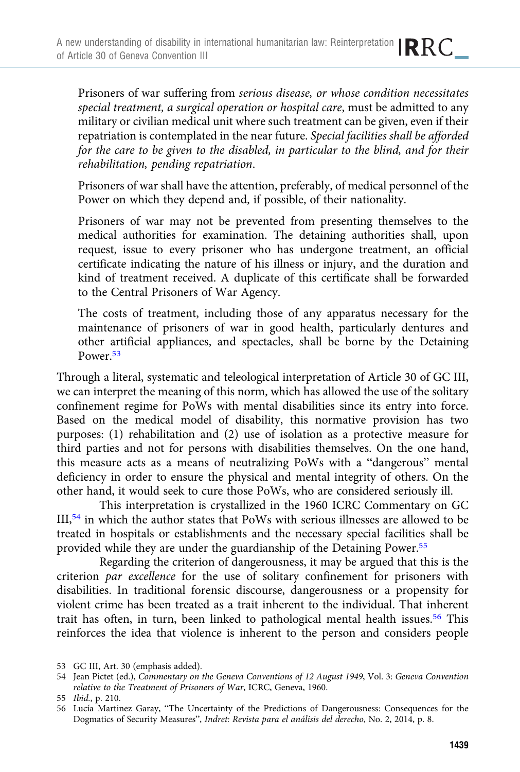Prisoners of war suffering from serious disease, or whose condition necessitates special treatment, a surgical operation or hospital care, must be admitted to any military or civilian medical unit where such treatment can be given, even if their repatriation is contemplated in the near future. Special facilities shall be afforded for the care to be given to the disabled, in particular to the blind, and for their rehabilitation, pending repatriation.

Prisoners of war shall have the attention, preferably, of medical personnel of the Power on which they depend and, if possible, of their nationality.

Prisoners of war may not be prevented from presenting themselves to the medical authorities for examination. The detaining authorities shall, upon request, issue to every prisoner who has undergone treatment, an official certificate indicating the nature of his illness or injury, and the duration and kind of treatment received. A duplicate of this certificate shall be forwarded to the Central Prisoners of War Agency.

The costs of treatment, including those of any apparatus necessary for the maintenance of prisoners of war in good health, particularly dentures and other artificial appliances, and spectacles, shall be borne by the Detaining Power.53

Through a literal, systematic and teleological interpretation of Article 30 of GC III, we can interpret the meaning of this norm, which has allowed the use of the solitary confinement regime for PoWs with mental disabilities since its entry into force. Based on the medical model of disability, this normative provision has two purposes: (1) rehabilitation and (2) use of isolation as a protective measure for third parties and not for persons with disabilities themselves. On the one hand, this measure acts as a means of neutralizing PoWs with a "dangerous" mental deficiency in order to ensure the physical and mental integrity of others. On the other hand, it would seek to cure those PoWs, who are considered seriously ill.

This interpretation is crystallized in the 1960 ICRC Commentary on GC III,54 in which the author states that PoWs with serious illnesses are allowed to be treated in hospitals or establishments and the necessary special facilities shall be provided while they are under the guardianship of the Detaining Power.55

Regarding the criterion of dangerousness, it may be argued that this is the criterion par excellence for the use of solitary confinement for prisoners with disabilities. In traditional forensic discourse, dangerousness or a propensity for violent crime has been treated as a trait inherent to the individual. That inherent trait has often, in turn, been linked to pathological mental health issues.<sup>56</sup> This reinforces the idea that violence is inherent to the person and considers people

53 GC III, Art. 30 (emphasis added).

<sup>54</sup> Jean Pictet (ed.), Commentary on the Geneva Conventions of 12 August 1949, Vol. 3: Geneva Convention relative to the Treatment of Prisoners of War, ICRC, Geneva, 1960.

<sup>55</sup> Ibid., p. 210.

<sup>56</sup> Lucía Martinez Garay, "The Uncertainty of the Predictions of Dangerousness: Consequences for the Dogmatics of Security Measures", Indret: Revista para el análisis del derecho, No. 2, 2014, p. 8.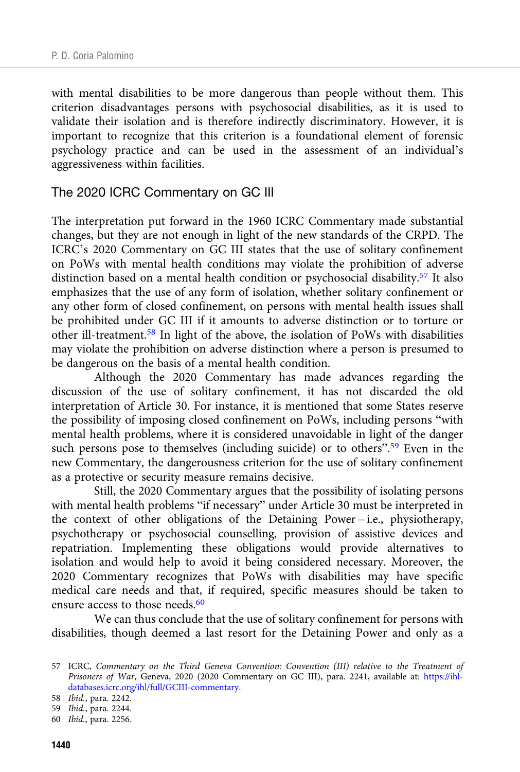with mental disabilities to be more dangerous than people without them. This criterion disadvantages persons with psychosocial disabilities, as it is used to validate their isolation and is therefore indirectly discriminatory. However, it is important to recognize that this criterion is a foundational element of forensic psychology practice and can be used in the assessment of an individual's aggressiveness within facilities.

#### The 2020 ICRC Commentary on GC III

The interpretation put forward in the 1960 ICRC Commentary made substantial changes, but they are not enough in light of the new standards of the CRPD. The ICRC's 2020 Commentary on GC III states that the use of solitary confinement on PoWs with mental health conditions may violate the prohibition of adverse distinction based on a mental health condition or psychosocial disability.<sup>57</sup> It also emphasizes that the use of any form of isolation, whether solitary confinement or any other form of closed confinement, on persons with mental health issues shall be prohibited under GC III if it amounts to adverse distinction or to torture or other ill-treatment.<sup>58</sup> In light of the above, the isolation of PoWs with disabilities may violate the prohibition on adverse distinction where a person is presumed to be dangerous on the basis of a mental health condition.

Although the 2020 Commentary has made advances regarding the discussion of the use of solitary confinement, it has not discarded the old interpretation of Article 30. For instance, it is mentioned that some States reserve the possibility of imposing closed confinement on PoWs, including persons "with mental health problems, where it is considered unavoidable in light of the danger such persons pose to themselves (including suicide) or to others".<sup>59</sup> Even in the new Commentary, the dangerousness criterion for the use of solitary confinement as a protective or security measure remains decisive.

Still, the 2020 Commentary argues that the possibility of isolating persons with mental health problems "if necessary" under Article 30 must be interpreted in the context of other obligations of the Detaining Power – i.e., physiotherapy, psychotherapy or psychosocial counselling, provision of assistive devices and repatriation. Implementing these obligations would provide alternatives to isolation and would help to avoid it being considered necessary. Moreover, the 2020 Commentary recognizes that PoWs with disabilities may have specific medical care needs and that, if required, specific measures should be taken to ensure access to those needs.<sup>60</sup>

We can thus conclude that the use of solitary confinement for persons with disabilities, though deemed a last resort for the Detaining Power and only as a

<sup>57</sup> ICRC, Commentary on the Third Geneva Convention: Convention (III) relative to the Treatment of Prisoners of War, Geneva, 2020 (2020 Commentary on GC III), para. 2241, available at: [https://ihl](https://ihl-databases.icrc.org/ihl/full/GCIII-commentary)[databases.icrc.org/ihl/full/GCIII-commentary.](https://ihl-databases.icrc.org/ihl/full/GCIII-commentary)

<sup>58</sup> Ibid., para. 2242.

<sup>59</sup> Ibid., para. 2244.

<sup>60</sup> Ibid., para. 2256.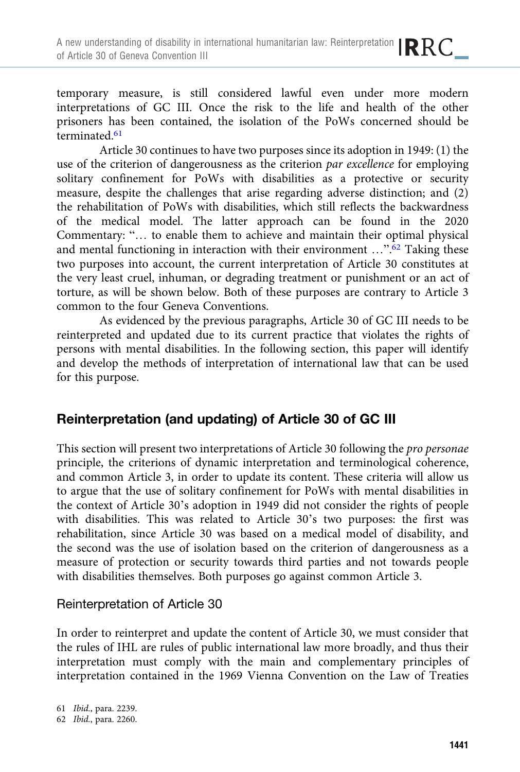temporary measure, is still considered lawful even under more modern interpretations of GC III. Once the risk to the life and health of the other prisoners has been contained, the isolation of the PoWs concerned should be terminated.61

Article 30 continues to have two purposes since its adoption in 1949: (1) the use of the criterion of dangerousness as the criterion par excellence for employing solitary confinement for PoWs with disabilities as a protective or security measure, despite the challenges that arise regarding adverse distinction; and (2) the rehabilitation of PoWs with disabilities, which still reflects the backwardness of the medical model. The latter approach can be found in the 2020 Commentary: "… to enable them to achieve and maintain their optimal physical and mental functioning in interaction with their environment ...".<sup>62</sup> Taking these two purposes into account, the current interpretation of Article 30 constitutes at the very least cruel, inhuman, or degrading treatment or punishment or an act of torture, as will be shown below. Both of these purposes are contrary to Article 3 common to the four Geneva Conventions.

As evidenced by the previous paragraphs, Article 30 of GC III needs to be reinterpreted and updated due to its current practice that violates the rights of persons with mental disabilities. In the following section, this paper will identify and develop the methods of interpretation of international law that can be used for this purpose.

# Reinterpretation (and updating) of Article 30 of GC III

This section will present two interpretations of Article 30 following the pro personae principle, the criterions of dynamic interpretation and terminological coherence, and common Article 3, in order to update its content. These criteria will allow us to argue that the use of solitary confinement for PoWs with mental disabilities in the context of Article 30's adoption in 1949 did not consider the rights of people with disabilities. This was related to Article 30's two purposes: the first was rehabilitation, since Article 30 was based on a medical model of disability, and the second was the use of isolation based on the criterion of dangerousness as a measure of protection or security towards third parties and not towards people with disabilities themselves. Both purposes go against common Article 3.

## Reinterpretation of Article 30

In order to reinterpret and update the content of Article 30, we must consider that the rules of IHL are rules of public international law more broadly, and thus their interpretation must comply with the main and complementary principles of interpretation contained in the 1969 Vienna Convention on the Law of Treaties

61 Ibid., para. 2239. 62 Ibid., para. 2260.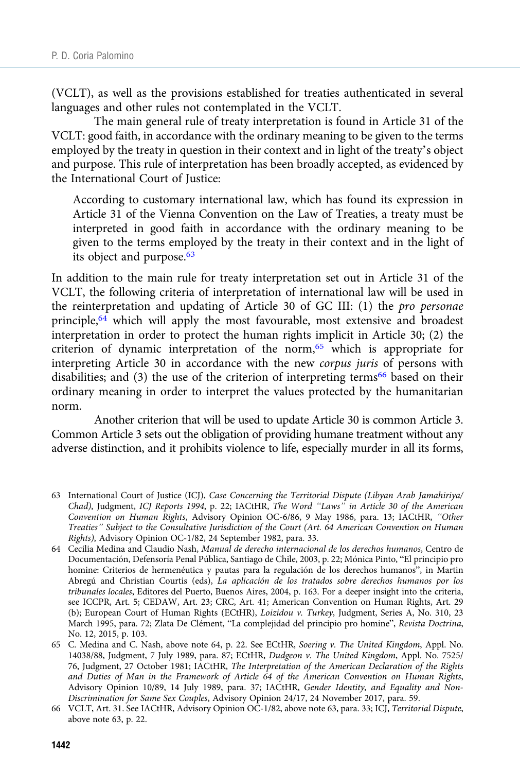(VCLT), as well as the provisions established for treaties authenticated in several languages and other rules not contemplated in the VCLT.

The main general rule of treaty interpretation is found in Article 31 of the VCLT: good faith, in accordance with the ordinary meaning to be given to the terms employed by the treaty in question in their context and in light of the treaty's object and purpose. This rule of interpretation has been broadly accepted, as evidenced by the International Court of Justice:

According to customary international law, which has found its expression in Article 31 of the Vienna Convention on the Law of Treaties, a treaty must be interpreted in good faith in accordance with the ordinary meaning to be given to the terms employed by the treaty in their context and in the light of its object and purpose.<sup>63</sup>

In addition to the main rule for treaty interpretation set out in Article 31 of the VCLT, the following criteria of interpretation of international law will be used in the reinterpretation and updating of Article 30 of GC III: (1) the pro personae principle,<sup>64</sup> which will apply the most favourable, most extensive and broadest interpretation in order to protect the human rights implicit in Article 30; (2) the criterion of dynamic interpretation of the norm,<sup>65</sup> which is appropriate for interpreting Article 30 in accordance with the new corpus juris of persons with disabilities; and  $(3)$  the use of the criterion of interpreting terms<sup>66</sup> based on their ordinary meaning in order to interpret the values protected by the humanitarian norm.

Another criterion that will be used to update Article 30 is common Article 3. Common Article 3 sets out the obligation of providing humane treatment without any adverse distinction, and it prohibits violence to life, especially murder in all its forms,

<sup>63</sup> International Court of Justice (ICJ), Case Concerning the Territorial Dispute (Libyan Arab Jamahiriya/ Chad), Judgment, ICJ Reports 1994, p. 22; IACtHR, The Word "Laws" in Article 30 of the American Convention on Human Rights, Advisory Opinion OC-6/86, 9 May 1986, para. 13; IACtHR, "Other Treaties" Subject to the Consultative Jurisdiction of the Court (Art. 64 American Convention on Human Rights), Advisory Opinion OC-1/82, 24 September 1982, para. 33.

<sup>64</sup> Cecilia Medina and Claudio Nash, Manual de derecho internacional de los derechos humanos, Centro de Documentación, Defensoría Penal Pública, Santiago de Chile, 2003, p. 22; Mónica Pinto, "El principio pro homine: Criterios de hermenéutica y pautas para la regulación de los derechos humanos", in Martin Abregú and Christian Courtis (eds), La aplicación de los tratados sobre derechos humanos por los tribunales locales, Editores del Puerto, Buenos Aires, 2004, p. 163. For a deeper insight into the criteria, see ICCPR, Art. 5; CEDAW, Art. 23; CRC, Art. 41; American Convention on Human Rights, Art. 29 (b); European Court of Human Rights (ECtHR), Loizidou v. Turkey, Judgment, Series A, No. 310, 23 March 1995, para. 72; Zlata De Clément, "La complejidad del principio pro homine", Revista Doctrina, No. 12, 2015, p. 103.

<sup>65</sup> C. Medina and C. Nash, above note 64, p. 22. See ECtHR, Soering v. The United Kingdom, Appl. No. 14038/88, Judgment, 7 July 1989, para. 87; ECtHR, Dudgeon v. The United Kingdom, Appl. No. 7525/ 76, Judgment, 27 October 1981; IACtHR, The Interpretation of the American Declaration of the Rights and Duties of Man in the Framework of Article 64 of the American Convention on Human Rights, Advisory Opinion 10/89, 14 July 1989, para. 37; IACtHR, Gender Identity, and Equality and Non-Discrimination for Same Sex Couples, Advisory Opinion 24/17, 24 November 2017, para. 59.

<sup>66</sup> VCLT, Art. 31. See IACtHR, Advisory Opinion OC-1/82, above note 63, para. 33; ICJ, Territorial Dispute, above note 63, p. 22.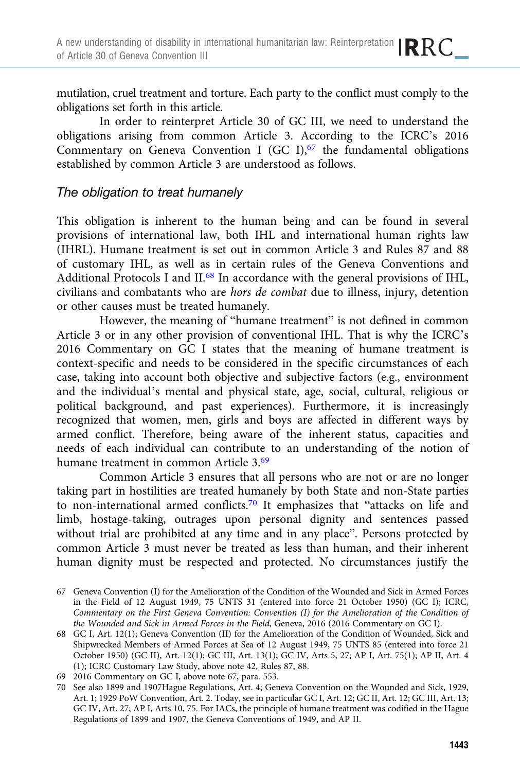mutilation, cruel treatment and torture. Each party to the conflict must comply to the obligations set forth in this article.

In order to reinterpret Article 30 of GC III, we need to understand the obligations arising from common Article 3. According to the ICRC's 2016 Commentary on Geneva Convention I (GC I), $67$  the fundamental obligations established by common Article 3 are understood as follows.

#### The obligation to treat humanely

This obligation is inherent to the human being and can be found in several provisions of international law, both IHL and international human rights law (IHRL). Humane treatment is set out in common Article 3 and Rules 87 and 88 of customary IHL, as well as in certain rules of the Geneva Conventions and Additional Protocols I and II.<sup>68</sup> In accordance with the general provisions of IHL, civilians and combatants who are hors de combat due to illness, injury, detention or other causes must be treated humanely.

However, the meaning of "humane treatment" is not defined in common Article 3 or in any other provision of conventional IHL. That is why the ICRC's 2016 Commentary on GC I states that the meaning of humane treatment is context-specific and needs to be considered in the specific circumstances of each case, taking into account both objective and subjective factors (e.g., environment and the individual's mental and physical state, age, social, cultural, religious or political background, and past experiences). Furthermore, it is increasingly recognized that women, men, girls and boys are affected in different ways by armed conflict. Therefore, being aware of the inherent status, capacities and needs of each individual can contribute to an understanding of the notion of humane treatment in common Article 3.69

Common Article 3 ensures that all persons who are not or are no longer taking part in hostilities are treated humanely by both State and non-State parties to non-international armed conflicts.70 It emphasizes that "attacks on life and limb, hostage-taking, outrages upon personal dignity and sentences passed without trial are prohibited at any time and in any place". Persons protected by common Article 3 must never be treated as less than human, and their inherent human dignity must be respected and protected. No circumstances justify the

<sup>67</sup> Geneva Convention (I) for the Amelioration of the Condition of the Wounded and Sick in Armed Forces in the Field of 12 August 1949, 75 UNTS 31 (entered into force 21 October 1950) (GC I); ICRC, Commentary on the First Geneva Convention: Convention (I) for the Amelioration of the Condition of the Wounded and Sick in Armed Forces in the Field, Geneva, 2016 (2016 Commentary on GC I).

<sup>68</sup> GC I, Art. 12(1); Geneva Convention (II) for the Amelioration of the Condition of Wounded, Sick and Shipwrecked Members of Armed Forces at Sea of 12 August 1949, 75 UNTS 85 (entered into force 21 October 1950) (GC II), Art. 12(1); GC III, Art. 13(1); GC IV, Arts 5, 27; AP I, Art. 75(1); AP II, Art. 4 (1); ICRC Customary Law Study, above note 42, Rules 87, 88.

<sup>69 2016</sup> Commentary on GC I, above note 67, para. 553.

<sup>70</sup> See also 1899 and 1907Hague Regulations, Art. 4; Geneva Convention on the Wounded and Sick, 1929, Art. 1; 1929 PoW Convention, Art. 2. Today, see in particular GC I, Art. 12; GC II, Art. 12; GC III, Art. 13; GC IV, Art. 27; AP I, Arts 10, 75. For IACs, the principle of humane treatment was codified in the Hague Regulations of 1899 and 1907, the Geneva Conventions of 1949, and AP II.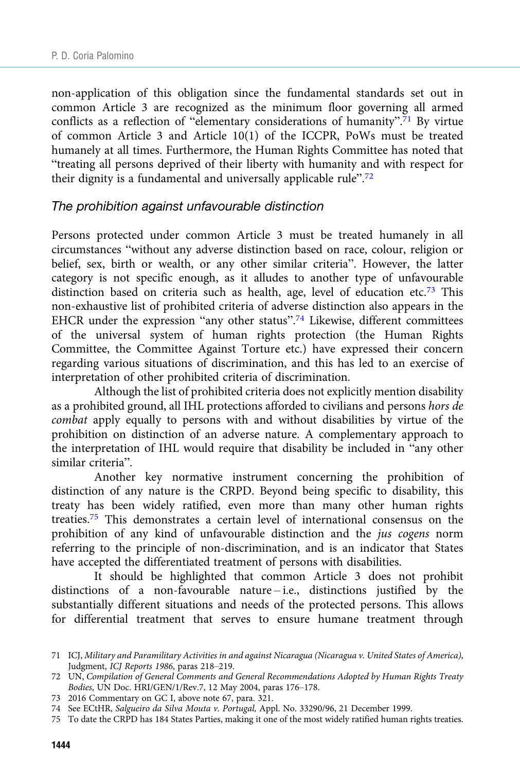non-application of this obligation since the fundamental standards set out in common Article 3 are recognized as the minimum floor governing all armed conflicts as a reflection of "elementary considerations of humanity".<sup>71</sup> By virtue of common Article 3 and Article 10(1) of the ICCPR, PoWs must be treated humanely at all times. Furthermore, the Human Rights Committee has noted that "treating all persons deprived of their liberty with humanity and with respect for their dignity is a fundamental and universally applicable rule".<sup>72</sup>

#### The prohibition against unfavourable distinction

Persons protected under common Article 3 must be treated humanely in all circumstances "without any adverse distinction based on race, colour, religion or belief, sex, birth or wealth, or any other similar criteria". However, the latter category is not specific enough, as it alludes to another type of unfavourable distinction based on criteria such as health, age, level of education etc.<sup>73</sup> This non-exhaustive list of prohibited criteria of adverse distinction also appears in the EHCR under the expression "any other status".<sup>74</sup> Likewise, different committees of the universal system of human rights protection (the Human Rights Committee, the Committee Against Torture etc.) have expressed their concern regarding various situations of discrimination, and this has led to an exercise of interpretation of other prohibited criteria of discrimination.

Although the list of prohibited criteria does not explicitly mention disability as a prohibited ground, all IHL protections afforded to civilians and persons hors de combat apply equally to persons with and without disabilities by virtue of the prohibition on distinction of an adverse nature. A complementary approach to the interpretation of IHL would require that disability be included in "any other similar criteria".

Another key normative instrument concerning the prohibition of distinction of any nature is the CRPD. Beyond being specific to disability, this treaty has been widely ratified, even more than many other human rights treaties.75 This demonstrates a certain level of international consensus on the prohibition of any kind of unfavourable distinction and the jus cogens norm referring to the principle of non-discrimination, and is an indicator that States have accepted the differentiated treatment of persons with disabilities.

It should be highlighted that common Article 3 does not prohibit distinctions of a non-favourable nature – i.e., distinctions justified by the substantially different situations and needs of the protected persons. This allows for differential treatment that serves to ensure humane treatment through

<sup>71</sup> ICJ, Military and Paramilitary Activities in and against Nicaragua (Nicaragua v. United States of America), Judgment, ICJ Reports 1986, paras 218–219.

<sup>72</sup> UN, Compilation of General Comments and General Recommendations Adopted by Human Rights Treaty Bodies, UN Doc. HRI/GEN/1/Rev.7, 12 May 2004, paras 176–178.

<sup>73 2016</sup> Commentary on GC I, above note 67, para. 321.

<sup>74</sup> See ECtHR, Salgueiro da Silva Mouta v. Portugal, Appl. No. 33290/96, 21 December 1999.

<sup>75</sup> To date the CRPD has 184 States Parties, making it one of the most widely ratified human rights treaties.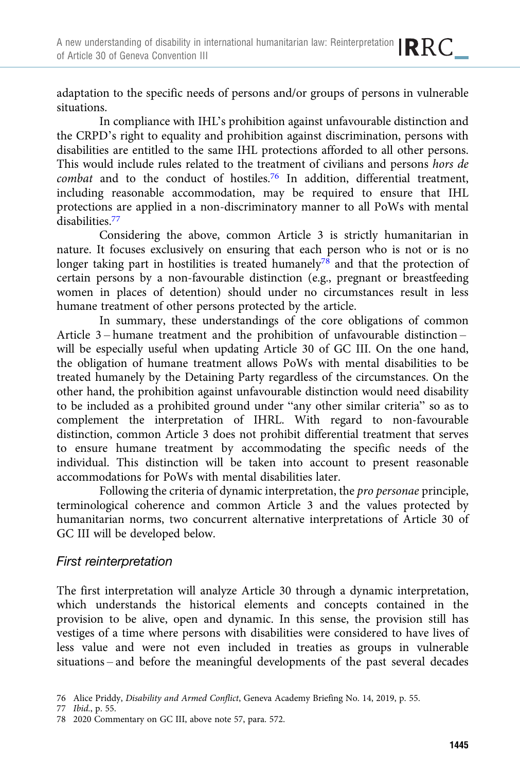adaptation to the specific needs of persons and/or groups of persons in vulnerable situations.

In compliance with IHL's prohibition against unfavourable distinction and the CRPD's right to equality and prohibition against discrimination, persons with disabilities are entitled to the same IHL protections afforded to all other persons. This would include rules related to the treatment of civilians and persons hors de combat and to the conduct of hostiles.<sup>76</sup> In addition, differential treatment, including reasonable accommodation, may be required to ensure that IHL protections are applied in a non-discriminatory manner to all PoWs with mental disabilities.77

Considering the above, common Article 3 is strictly humanitarian in nature. It focuses exclusively on ensuring that each person who is not or is no longer taking part in hostilities is treated humanely<sup>78</sup> and that the protection of certain persons by a non-favourable distinction (e.g., pregnant or breastfeeding women in places of detention) should under no circumstances result in less humane treatment of other persons protected by the article.

In summary, these understandings of the core obligations of common Article 3 – humane treatment and the prohibition of unfavourable distinction – will be especially useful when updating Article 30 of GC III. On the one hand, the obligation of humane treatment allows PoWs with mental disabilities to be treated humanely by the Detaining Party regardless of the circumstances. On the other hand, the prohibition against unfavourable distinction would need disability to be included as a prohibited ground under "any other similar criteria" so as to complement the interpretation of IHRL. With regard to non-favourable distinction, common Article 3 does not prohibit differential treatment that serves to ensure humane treatment by accommodating the specific needs of the individual. This distinction will be taken into account to present reasonable accommodations for PoWs with mental disabilities later.

Following the criteria of dynamic interpretation, the pro personae principle, terminological coherence and common Article 3 and the values protected by humanitarian norms, two concurrent alternative interpretations of Article 30 of GC III will be developed below.

## First reinterpretation

The first interpretation will analyze Article 30 through a dynamic interpretation, which understands the historical elements and concepts contained in the provision to be alive, open and dynamic. In this sense, the provision still has vestiges of a time where persons with disabilities were considered to have lives of less value and were not even included in treaties as groups in vulnerable situations – and before the meaningful developments of the past several decades

<sup>76</sup> Alice Priddy, Disability and Armed Conflict, Geneva Academy Briefing No. 14, 2019, p. 55.

<sup>77</sup> Ibid., p. 55.

<sup>78 2020</sup> Commentary on GC III, above note 57, para. 572.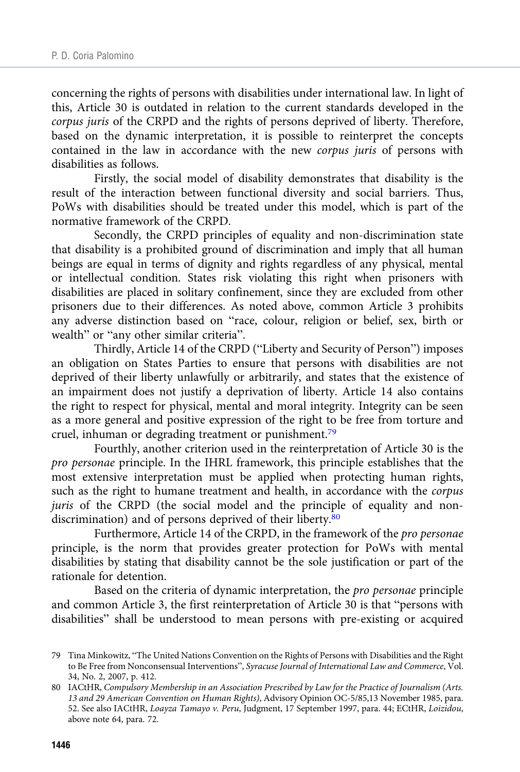concerning the rights of persons with disabilities under international law. In light of this, Article 30 is outdated in relation to the current standards developed in the corpus juris of the CRPD and the rights of persons deprived of liberty. Therefore, based on the dynamic interpretation, it is possible to reinterpret the concepts contained in the law in accordance with the new corpus juris of persons with disabilities as follows.

Firstly, the social model of disability demonstrates that disability is the result of the interaction between functional diversity and social barriers. Thus, PoWs with disabilities should be treated under this model, which is part of the normative framework of the CRPD.

Secondly, the CRPD principles of equality and non-discrimination state that disability is a prohibited ground of discrimination and imply that all human beings are equal in terms of dignity and rights regardless of any physical, mental or intellectual condition. States risk violating this right when prisoners with disabilities are placed in solitary confinement, since they are excluded from other prisoners due to their differences. As noted above, common Article 3 prohibits any adverse distinction based on "race, colour, religion or belief, sex, birth or wealth" or "any other similar criteria".

Thirdly, Article 14 of the CRPD ("Liberty and Security of Person") imposes an obligation on States Parties to ensure that persons with disabilities are not deprived of their liberty unlawfully or arbitrarily, and states that the existence of an impairment does not justify a deprivation of liberty. Article 14 also contains the right to respect for physical, mental and moral integrity. Integrity can be seen as a more general and positive expression of the right to be free from torture and cruel, inhuman or degrading treatment or punishment.<sup>79</sup>

Fourthly, another criterion used in the reinterpretation of Article 30 is the pro personae principle. In the IHRL framework, this principle establishes that the most extensive interpretation must be applied when protecting human rights, such as the right to humane treatment and health, in accordance with the corpus juris of the CRPD (the social model and the principle of equality and nondiscrimination) and of persons deprived of their liberty.<sup>80</sup>

Furthermore, Article 14 of the CRPD, in the framework of the pro personae principle, is the norm that provides greater protection for PoWs with mental disabilities by stating that disability cannot be the sole justification or part of the rationale for detention.

Based on the criteria of dynamic interpretation, the pro personae principle and common Article 3, the first reinterpretation of Article 30 is that "persons with disabilities" shall be understood to mean persons with pre-existing or acquired

<sup>79</sup> Tina Minkowitz, "The United Nations Convention on the Rights of Persons with Disabilities and the Right to Be Free from Nonconsensual Interventions", Syracuse Journal of International Law and Commerce, Vol. 34, No. 2, 2007, p. 412.

<sup>80</sup> IACtHR, Compulsory Membership in an Association Prescribed by Law for the Practice of Journalism (Arts. 13 and 29 American Convention on Human Rights), Advisory Opinion OC-5/85,13 November 1985, para. 52. See also IACtHR, Loayza Tamayo v. Peru, Judgment, 17 September 1997, para. 44; ECtHR, Loizidou, above note 64, para. 72.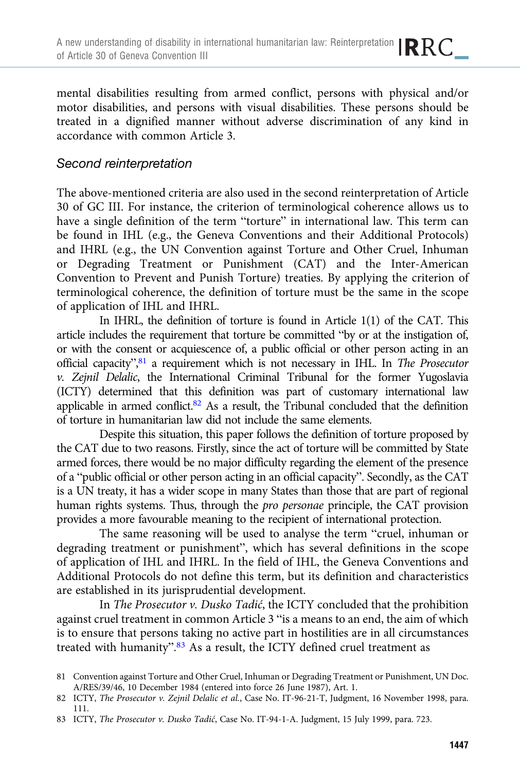mental disabilities resulting from armed conflict, persons with physical and/or motor disabilities, and persons with visual disabilities. These persons should be treated in a dignified manner without adverse discrimination of any kind in accordance with common Article 3.

#### Second reinterpretation

The above-mentioned criteria are also used in the second reinterpretation of Article 30 of GC III. For instance, the criterion of terminological coherence allows us to have a single definition of the term "torture" in international law. This term can be found in IHL (e.g., the Geneva Conventions and their Additional Protocols) and IHRL (e.g., the UN Convention against Torture and Other Cruel, Inhuman or Degrading Treatment or Punishment (CAT) and the Inter-American Convention to Prevent and Punish Torture) treaties. By applying the criterion of terminological coherence, the definition of torture must be the same in the scope of application of IHL and IHRL.

In IHRL, the definition of torture is found in Article 1(1) of the CAT. This article includes the requirement that torture be committed "by or at the instigation of, or with the consent or acquiescence of, a public official or other person acting in an official capacity", 81 a requirement which is not necessary in IHL. In The Prosecutor v. Zejnil Delalic, the International Criminal Tribunal for the former Yugoslavia (ICTY) determined that this definition was part of customary international law applicable in armed conflict.<sup>82</sup> As a result, the Tribunal concluded that the definition of torture in humanitarian law did not include the same elements.

Despite this situation, this paper follows the definition of torture proposed by the CAT due to two reasons. Firstly, since the act of torture will be committed by State armed forces, there would be no major difficulty regarding the element of the presence of a "public official or other person acting in an official capacity". Secondly, as the CAT is a UN treaty, it has a wider scope in many States than those that are part of regional human rights systems. Thus, through the pro personae principle, the CAT provision provides a more favourable meaning to the recipient of international protection.

The same reasoning will be used to analyse the term "cruel, inhuman or degrading treatment or punishment", which has several definitions in the scope of application of IHL and IHRL. In the field of IHL, the Geneva Conventions and Additional Protocols do not define this term, but its definition and characteristics are established in its jurisprudential development.

In The Prosecutor v. Dusko Tadić, the ICTY concluded that the prohibition against cruel treatment in common Article 3 "is a means to an end, the aim of which is to ensure that persons taking no active part in hostilities are in all circumstances treated with humanity".<sup>83</sup> As a result, the ICTY defined cruel treatment as

<sup>81</sup> Convention against Torture and Other Cruel, Inhuman or Degrading Treatment or Punishment, UN Doc. A/RES/39/46, 10 December 1984 (entered into force 26 June 1987), Art. 1.

<sup>82</sup> ICTY, The Prosecutor v. Zejnil Delalic et al., Case No. IT-96-21-T, Judgment, 16 November 1998, para. 111.

<sup>83</sup> ICTY, The Prosecutor v. Dusko Tadić, Case No. IT-94-1-A. Judgment, 15 July 1999, para. 723.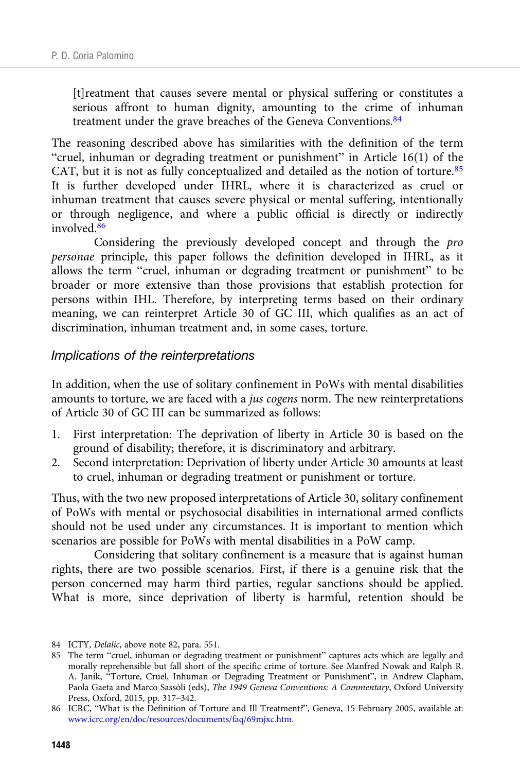[t]reatment that causes severe mental or physical suffering or constitutes a serious affront to human dignity, amounting to the crime of inhuman treatment under the grave breaches of the Geneva Conventions.<sup>84</sup>

The reasoning described above has similarities with the definition of the term "cruel, inhuman or degrading treatment or punishment" in Article 16(1) of the CAT, but it is not as fully conceptualized and detailed as the notion of torture.<sup>85</sup> It is further developed under IHRL, where it is characterized as cruel or inhuman treatment that causes severe physical or mental suffering, intentionally or through negligence, and where a public official is directly or indirectly involved.<sup>86</sup>

Considering the previously developed concept and through the pro personae principle, this paper follows the definition developed in IHRL, as it allows the term "cruel, inhuman or degrading treatment or punishment" to be broader or more extensive than those provisions that establish protection for persons within IHL. Therefore, by interpreting terms based on their ordinary meaning, we can reinterpret Article 30 of GC III, which qualifies as an act of discrimination, inhuman treatment and, in some cases, torture.

#### Implications of the reinterpretations

In addition, when the use of solitary confinement in PoWs with mental disabilities amounts to torture, we are faced with a jus cogens norm. The new reinterpretations of Article 30 of GC III can be summarized as follows:

- 1. First interpretation: The deprivation of liberty in Article 30 is based on the ground of disability; therefore, it is discriminatory and arbitrary.
- 2. Second interpretation: Deprivation of liberty under Article 30 amounts at least to cruel, inhuman or degrading treatment or punishment or torture.

Thus, with the two new proposed interpretations of Article 30, solitary confinement of PoWs with mental or psychosocial disabilities in international armed conflicts should not be used under any circumstances. It is important to mention which scenarios are possible for PoWs with mental disabilities in a PoW camp.

Considering that solitary confinement is a measure that is against human rights, there are two possible scenarios. First, if there is a genuine risk that the person concerned may harm third parties, regular sanctions should be applied. What is more, since deprivation of liberty is harmful, retention should be

<sup>84</sup> ICTY, Delalic, above note 82, para. 551.

<sup>85</sup> The term "cruel, inhuman or degrading treatment or punishment" captures acts which are legally and morally reprehensible but fall short of the specific crime of torture. See Manfred Nowak and Ralph R. A. Janik, "Torture, Cruel, Inhuman or Degrading Treatment or Punishment", in Andrew Clapham, Paola Gaeta and Marco Sassòli (eds), The 1949 Geneva Conventions: A Commentary, Oxford University Press, Oxford, 2015, pp. 317–342.

<sup>86</sup> ICRC, "What is the Definition of Torture and Ill Treatment?", Geneva, 15 February 2005, available at: [www.icrc.org/en/doc/resources/documents/faq/69mjxc.htm.](https://www.icrc.org/en/doc/resources/documents/faq/69mjxc.htm)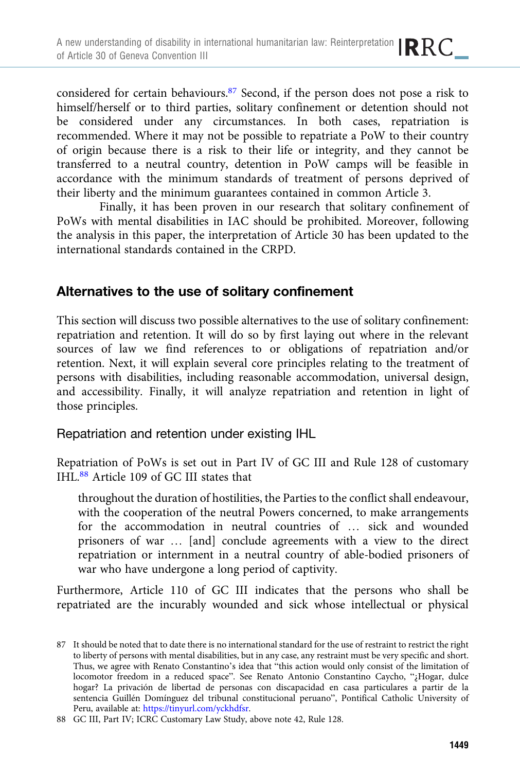considered for certain behaviours.87 Second, if the person does not pose a risk to himself/herself or to third parties, solitary confinement or detention should not be considered under any circumstances. In both cases, repatriation is recommended. Where it may not be possible to repatriate a PoW to their country of origin because there is a risk to their life or integrity, and they cannot be transferred to a neutral country, detention in PoW camps will be feasible in accordance with the minimum standards of treatment of persons deprived of their liberty and the minimum guarantees contained in common Article 3.

Finally, it has been proven in our research that solitary confinement of PoWs with mental disabilities in IAC should be prohibited. Moreover, following the analysis in this paper, the interpretation of Article 30 has been updated to the international standards contained in the CRPD.

# Alternatives to the use of solitary confinement

This section will discuss two possible alternatives to the use of solitary confinement: repatriation and retention. It will do so by first laying out where in the relevant sources of law we find references to or obligations of repatriation and/or retention. Next, it will explain several core principles relating to the treatment of persons with disabilities, including reasonable accommodation, universal design, and accessibility. Finally, it will analyze repatriation and retention in light of those principles.

## Repatriation and retention under existing IHL

Repatriation of PoWs is set out in Part IV of GC III and Rule 128 of customary IHL.88 Article 109 of GC III states that

throughout the duration of hostilities, the Parties to the conflict shall endeavour, with the cooperation of the neutral Powers concerned, to make arrangements for the accommodation in neutral countries of … sick and wounded prisoners of war … [and] conclude agreements with a view to the direct repatriation or internment in a neutral country of able-bodied prisoners of war who have undergone a long period of captivity.

Furthermore, Article 110 of GC III indicates that the persons who shall be repatriated are the incurably wounded and sick whose intellectual or physical

<sup>87</sup> It should be noted that to date there is no international standard for the use of restraint to restrict the right to liberty of persons with mental disabilities, but in any case, any restraint must be very specific and short. Thus, we agree with Renato Constantino's idea that "this action would only consist of the limitation of locomotor freedom in a reduced space". See Renato Antonio Constantino Caycho, "¿Hogar, dulce hogar? La privación de libertad de personas con discapacidad en casa particulares a partir de la sentencia Guillén Domínguez del tribunal constitucional peruano", Pontifical Catholic University of Peru, available at: <https://tinyurl.com/yckhdfsr>.

<sup>88</sup> GC III, Part IV; ICRC Customary Law Study, above note 42, Rule 128.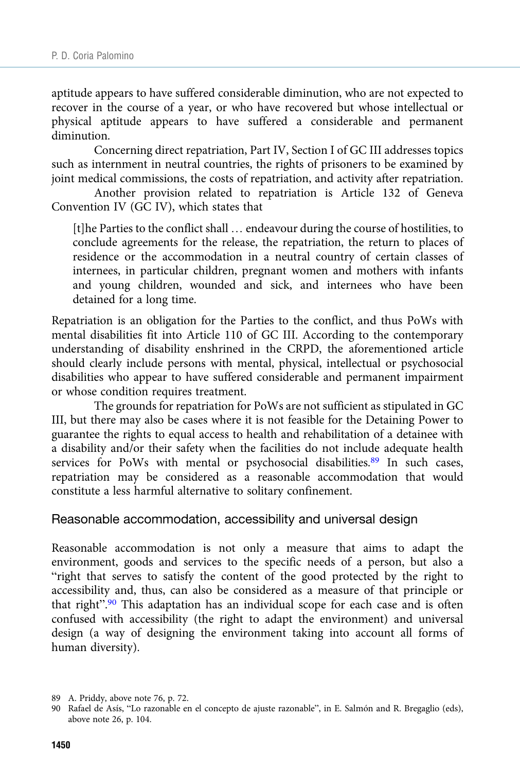aptitude appears to have suffered considerable diminution, who are not expected to recover in the course of a year, or who have recovered but whose intellectual or physical aptitude appears to have suffered a considerable and permanent diminution.

Concerning direct repatriation, Part IV, Section I of GC III addresses topics such as internment in neutral countries, the rights of prisoners to be examined by joint medical commissions, the costs of repatriation, and activity after repatriation.

Another provision related to repatriation is Article 132 of Geneva Convention IV (GC IV), which states that

[t]he Parties to the conflict shall … endeavour during the course of hostilities, to conclude agreements for the release, the repatriation, the return to places of residence or the accommodation in a neutral country of certain classes of internees, in particular children, pregnant women and mothers with infants and young children, wounded and sick, and internees who have been detained for a long time.

Repatriation is an obligation for the Parties to the conflict, and thus PoWs with mental disabilities fit into Article 110 of GC III. According to the contemporary understanding of disability enshrined in the CRPD, the aforementioned article should clearly include persons with mental, physical, intellectual or psychosocial disabilities who appear to have suffered considerable and permanent impairment or whose condition requires treatment.

The grounds for repatriation for PoWs are not sufficient as stipulated in GC III, but there may also be cases where it is not feasible for the Detaining Power to guarantee the rights to equal access to health and rehabilitation of a detainee with a disability and/or their safety when the facilities do not include adequate health services for PoWs with mental or psychosocial disabilities.<sup>89</sup> In such cases, repatriation may be considered as a reasonable accommodation that would constitute a less harmful alternative to solitary confinement.

#### Reasonable accommodation, accessibility and universal design

Reasonable accommodation is not only a measure that aims to adapt the environment, goods and services to the specific needs of a person, but also a "right that serves to satisfy the content of the good protected by the right to accessibility and, thus, can also be considered as a measure of that principle or that right".<sup>90</sup> This adaptation has an individual scope for each case and is often confused with accessibility (the right to adapt the environment) and universal design (a way of designing the environment taking into account all forms of human diversity).

<sup>89</sup> A. Priddy, above note 76, p. 72.

<sup>90</sup> Rafael de Asís, "Lo razonable en el concepto de ajuste razonable", in E. Salmón and R. Bregaglio (eds), above note 26, p. 104.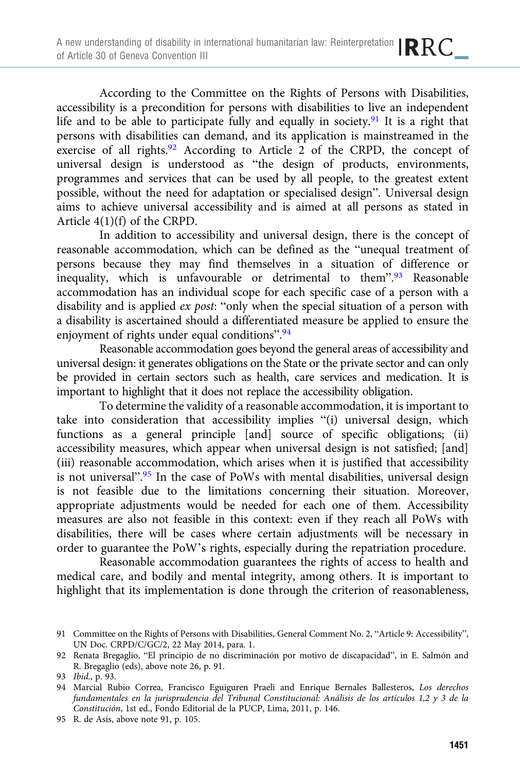According to the Committee on the Rights of Persons with Disabilities, accessibility is a precondition for persons with disabilities to live an independent life and to be able to participate fully and equally in society.91 It is a right that persons with disabilities can demand, and its application is mainstreamed in the exercise of all rights.<sup>92</sup> According to Article  $\overrightarrow{2}$  of the CRPD, the concept of universal design is understood as "the design of products, environments, programmes and services that can be used by all people, to the greatest extent possible, without the need for adaptation or specialised design". Universal design aims to achieve universal accessibility and is aimed at all persons as stated in Article 4(1)(f) of the CRPD.

In addition to accessibility and universal design, there is the concept of reasonable accommodation, which can be defined as the "unequal treatment of persons because they may find themselves in a situation of difference or inequality, which is unfavourable or detrimental to them".<sup>93</sup> Reasonable accommodation has an individual scope for each specific case of a person with a disability and is applied ex post: "only when the special situation of a person with a disability is ascertained should a differentiated measure be applied to ensure the enjoyment of rights under equal conditions".<sup>94</sup>

Reasonable accommodation goes beyond the general areas of accessibility and universal design: it generates obligations on the State or the private sector and can only be provided in certain sectors such as health, care services and medication. It is important to highlight that it does not replace the accessibility obligation.

To determine the validity of a reasonable accommodation, it is important to take into consideration that accessibility implies "(i) universal design, which functions as a general principle [and] source of specific obligations; (ii) accessibility measures, which appear when universal design is not satisfied; [and] (iii) reasonable accommodation, which arises when it is justified that accessibility is not universal".<sup>95</sup> In the case of PoWs with mental disabilities, universal design is not feasible due to the limitations concerning their situation. Moreover, appropriate adjustments would be needed for each one of them. Accessibility measures are also not feasible in this context: even if they reach all PoWs with disabilities, there will be cases where certain adjustments will be necessary in order to guarantee the PoW's rights, especially during the repatriation procedure.

Reasonable accommodation guarantees the rights of access to health and medical care, and bodily and mental integrity, among others. It is important to highlight that its implementation is done through the criterion of reasonableness,

<sup>91</sup> Committee on the Rights of Persons with Disabilities, General Comment No. 2, "Article 9: Accessibility", UN Doc. CRPD/C/GC/2, 22 May 2014, para. 1.

<sup>92</sup> Renata Bregaglio, "El principio de no discriminación por motivo de discapacidad", in E. Salmón and R. Bregaglio (eds), above note 26, p. 91.

<sup>93</sup> Ibid., p. 93.

<sup>94</sup> Marcial Rubio Correa, Francisco Eguiguren Praeli and Enrique Bernales Ballesteros, Los derechos fundamentales en la jurisprudencia del Tribunal Constitucional: Análisis de los artículos 1,2 y 3 de la Constitución, 1st ed., Fondo Editorial de la PUCP, Lima, 2011, p. 146.

<sup>95</sup> R. de Asís, above note 91, p. 105.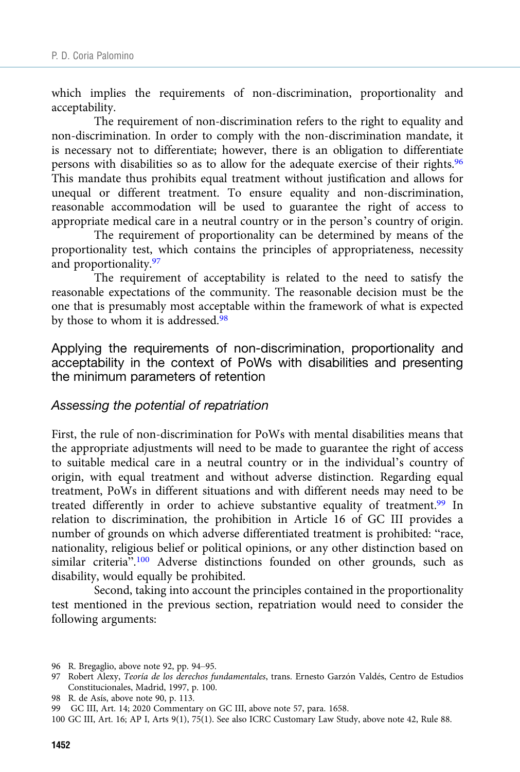which implies the requirements of non-discrimination, proportionality and acceptability.

The requirement of non-discrimination refers to the right to equality and non-discrimination. In order to comply with the non-discrimination mandate, it is necessary not to differentiate; however, there is an obligation to differentiate persons with disabilities so as to allow for the adequate exercise of their rights.<sup>96</sup> This mandate thus prohibits equal treatment without justification and allows for unequal or different treatment. To ensure equality and non-discrimination, reasonable accommodation will be used to guarantee the right of access to appropriate medical care in a neutral country or in the person's country of origin.

The requirement of proportionality can be determined by means of the proportionality test, which contains the principles of appropriateness, necessity and proportionality.97

The requirement of acceptability is related to the need to satisfy the reasonable expectations of the community. The reasonable decision must be the one that is presumably most acceptable within the framework of what is expected by those to whom it is addressed.<sup>98</sup>

Applying the requirements of non-discrimination, proportionality and acceptability in the context of PoWs with disabilities and presenting the minimum parameters of retention

#### Assessing the potential of repatriation

First, the rule of non-discrimination for PoWs with mental disabilities means that the appropriate adjustments will need to be made to guarantee the right of access to suitable medical care in a neutral country or in the individual's country of origin, with equal treatment and without adverse distinction. Regarding equal treatment, PoWs in different situations and with different needs may need to be treated differently in order to achieve substantive equality of treatment.99 In relation to discrimination, the prohibition in Article 16 of GC III provides a number of grounds on which adverse differentiated treatment is prohibited: "race, nationality, religious belief or political opinions, or any other distinction based on similar criteria".<sup>100</sup> Adverse distinctions founded on other grounds, such as disability, would equally be prohibited.

Second, taking into account the principles contained in the proportionality test mentioned in the previous section, repatriation would need to consider the following arguments:

<sup>96</sup> R. Bregaglio, above note 92, pp. 94–95.

<sup>97</sup> Robert Álexy, Teoría de los derechos fundamentales, trans. Ernesto Garzón Valdés, Centro de Estudios Constitucionales, Madrid, 1997, p. 100.

<sup>98</sup> R. de Asís, above note 90, p. 113.

<sup>99</sup> GC III, Art. 14; 2020 Commentary on GC III, above note 57, para. 1658.

<sup>100</sup> GC III, Art. 16; AP I, Arts 9(1), 75(1). See also ICRC Customary Law Study, above note 42, Rule 88.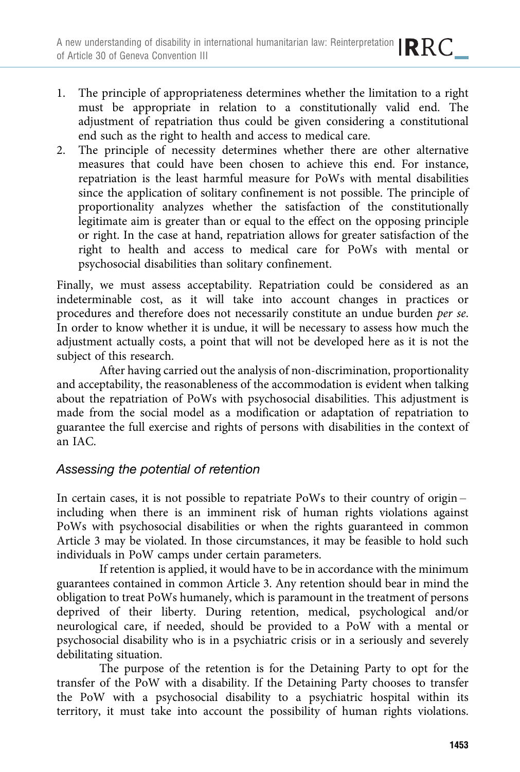- 1. The principle of appropriateness determines whether the limitation to a right must be appropriate in relation to a constitutionally valid end. The adjustment of repatriation thus could be given considering a constitutional end such as the right to health and access to medical care.
- 2. The principle of necessity determines whether there are other alternative measures that could have been chosen to achieve this end. For instance, repatriation is the least harmful measure for PoWs with mental disabilities since the application of solitary confinement is not possible. The principle of proportionality analyzes whether the satisfaction of the constitutionally legitimate aim is greater than or equal to the effect on the opposing principle or right. In the case at hand, repatriation allows for greater satisfaction of the right to health and access to medical care for PoWs with mental or psychosocial disabilities than solitary confinement.

Finally, we must assess acceptability. Repatriation could be considered as an indeterminable cost, as it will take into account changes in practices or procedures and therefore does not necessarily constitute an undue burden per se. In order to know whether it is undue, it will be necessary to assess how much the adjustment actually costs, a point that will not be developed here as it is not the subject of this research.

After having carried out the analysis of non-discrimination, proportionality and acceptability, the reasonableness of the accommodation is evident when talking about the repatriation of PoWs with psychosocial disabilities. This adjustment is made from the social model as a modification or adaptation of repatriation to guarantee the full exercise and rights of persons with disabilities in the context of an IAC.

# Assessing the potential of retention

In certain cases, it is not possible to repatriate PoWs to their country of origin – including when there is an imminent risk of human rights violations against PoWs with psychosocial disabilities or when the rights guaranteed in common Article 3 may be violated. In those circumstances, it may be feasible to hold such individuals in PoW camps under certain parameters.

If retention is applied, it would have to be in accordance with the minimum guarantees contained in common Article 3. Any retention should bear in mind the obligation to treat PoWs humanely, which is paramount in the treatment of persons deprived of their liberty. During retention, medical, psychological and/or neurological care, if needed, should be provided to a PoW with a mental or psychosocial disability who is in a psychiatric crisis or in a seriously and severely debilitating situation.

The purpose of the retention is for the Detaining Party to opt for the transfer of the PoW with a disability. If the Detaining Party chooses to transfer the PoW with a psychosocial disability to a psychiatric hospital within its territory, it must take into account the possibility of human rights violations.